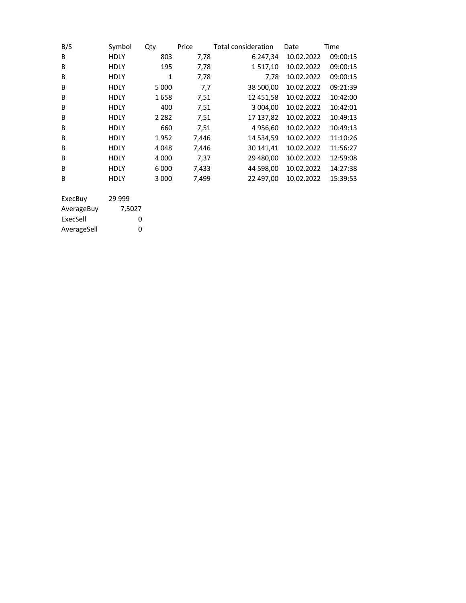| B/S            | Symbol      | Qty          | Price | <b>Total consideration</b> | Date       | Time     |
|----------------|-------------|--------------|-------|----------------------------|------------|----------|
| B              | <b>HDLY</b> | 803          | 7,78  | 6 247,34                   | 10.02.2022 | 09:00:15 |
| B              | <b>HDLY</b> | 195          | 7,78  | 1517,10                    | 10.02.2022 | 09:00:15 |
| B              | HDLY        | $\mathbf{1}$ | 7,78  | 7,78                       | 10.02.2022 | 09:00:15 |
| B              | <b>HDLY</b> | 5 0 0 0      | 7,7   | 38 500,00                  | 10.02.2022 | 09:21:39 |
| B              | <b>HDLY</b> | 1658         | 7,51  | 12 451,58                  | 10.02.2022 | 10:42:00 |
| B              | HDLY        | 400          | 7,51  | 3 004,00                   | 10.02.2022 | 10:42:01 |
| B              | <b>HDLY</b> | 2 2 8 2      | 7,51  | 17 137,82                  | 10.02.2022 | 10:49:13 |
| B              | HDLY        | 660          | 7,51  | 4 956,60                   | 10.02.2022 | 10:49:13 |
| B              | HDLY        | 1952         | 7,446 | 14 534,59                  | 10.02.2022 | 11:10:26 |
| B              | <b>HDLY</b> | 4048         | 7,446 | 30 141,41                  | 10.02.2022 | 11:56:27 |
| B              | <b>HDLY</b> | 4 0 0 0      | 7,37  | 29 480,00                  | 10.02.2022 | 12:59:08 |
| B              | <b>HDLY</b> | 6 0 0 0      | 7,433 | 44 598,00                  | 10.02.2022 | 14:27:38 |
| B              | <b>HDLY</b> | 3 0 0 0      | 7,499 | 22 497,00                  | 10.02.2022 | 15:39:53 |
|                |             |              |       |                            |            |          |
| <b>FxecRuv</b> | 29 999      |              |       |                            |            |          |

| ExecBuy     | <u>29 999</u> |  |
|-------------|---------------|--|
| AverageBuy  | 7.5027        |  |
| ExecSell    | O             |  |
| AverageSell | O             |  |
|             |               |  |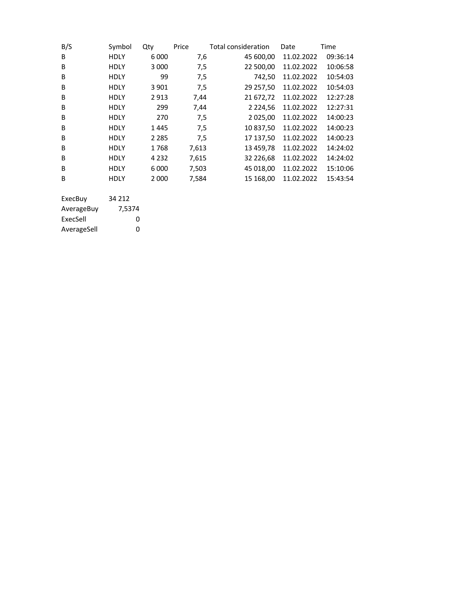| B/S     | Symbol      | Qty     | Price | <b>Total consideration</b> | Date       | Time     |
|---------|-------------|---------|-------|----------------------------|------------|----------|
| B       | <b>HDLY</b> | 6 0 0 0 | 7,6   | 45 600,00                  | 11.02.2022 | 09:36:14 |
| B       | HDLY        | 3 0 0 0 | 7,5   | 22 500,00                  | 11.02.2022 | 10:06:58 |
| B       | HDLY        | 99      | 7,5   | 742,50                     | 11.02.2022 | 10:54:03 |
| B       | HDLY        | 3 9 0 1 | 7,5   | 29 257,50                  | 11.02.2022 | 10:54:03 |
| B       | HDLY        | 2913    | 7,44  | 21 672,72                  | 11.02.2022 | 12:27:28 |
| B       | <b>HDLY</b> | 299     | 7,44  | 2 2 2 4, 5 6               | 11.02.2022 | 12:27:31 |
| B       | <b>HDLY</b> | 270     | 7,5   | 2 025,00                   | 11.02.2022 | 14:00:23 |
| B       | HDLY        | 1445    | 7,5   | 10 837,50                  | 11.02.2022 | 14:00:23 |
| B       | HDLY        | 2 2 8 5 | 7,5   | 17 137,50                  | 11.02.2022 | 14:00:23 |
| B       | HDLY        | 1768    | 7,613 | 13 459,78                  | 11.02.2022 | 14:24:02 |
| B       | HDLY        | 4 2 3 2 | 7,615 | 32 226,68                  | 11.02.2022 | 14:24:02 |
| B       | HDLY        | 6 000   | 7,503 | 45 018,00                  | 11.02.2022 | 15:10:06 |
| B       | <b>HDLY</b> | 2 0 0 0 | 7,584 | 15 168,00                  | 11.02.2022 | 15:43:54 |
|         |             |         |       |                            |            |          |
| ExecBuy | 34 212      |         |       |                            |            |          |

| 7,5374 |
|--------|
| O      |
| O      |
|        |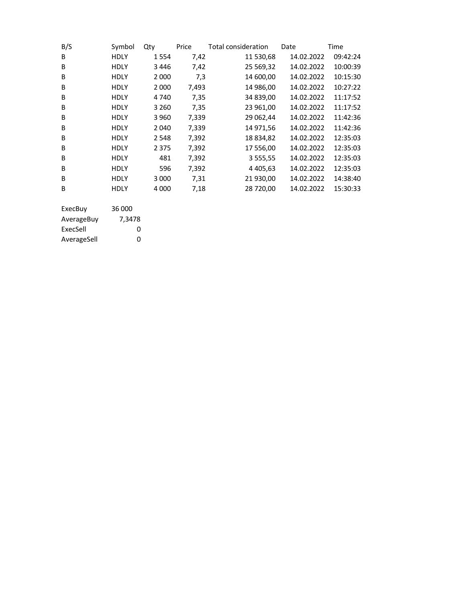| B/S        | Symbol      | Qty     | Price | Total consideration | Date       | Time     |
|------------|-------------|---------|-------|---------------------|------------|----------|
| B          | <b>HDLY</b> | 1554    | 7,42  | 11 530,68           | 14.02.2022 | 09:42:24 |
| B          | <b>HDLY</b> | 3446    | 7,42  | 25 5 69, 32         | 14.02.2022 | 10:00:39 |
| B          | <b>HDLY</b> | 2 0 0 0 | 7,3   | 14 600,00           | 14.02.2022 | 10:15:30 |
| B          | HDLY        | 2 0 0 0 | 7,493 | 14 986,00           | 14.02.2022 | 10:27:22 |
| B          | <b>HDLY</b> | 4740    | 7,35  | 34 839,00           | 14.02.2022 | 11:17:52 |
| B          | <b>HDLY</b> | 3 2 6 0 | 7,35  | 23 961,00           | 14.02.2022 | 11:17:52 |
| B          | <b>HDLY</b> | 3 9 6 0 | 7,339 | 29 062,44           | 14.02.2022 | 11:42:36 |
| B          | <b>HDLY</b> | 2040    | 7,339 | 14 971,56           | 14.02.2022 | 11:42:36 |
| B          | <b>HDLY</b> | 2548    | 7,392 | 18 834,82           | 14.02.2022 | 12:35:03 |
| B          | <b>HDLY</b> | 2 3 7 5 | 7,392 | 17 556,00           | 14.02.2022 | 12:35:03 |
| B          | <b>HDLY</b> | 481     | 7,392 | 3 555,55            | 14.02.2022 | 12:35:03 |
| B          | <b>HDLY</b> | 596     | 7,392 | 4 4 0 5 , 6 3       | 14.02.2022 | 12:35:03 |
| B          | <b>HDLY</b> | 3 0 0 0 | 7,31  | 21 930,00           | 14.02.2022 | 14:38:40 |
| B          | <b>HDLY</b> | 4 000   | 7,18  | 28 720,00           | 14.02.2022 | 15:30:33 |
|            |             |         |       |                     |            |          |
| ExecBuy    | 36 000      |         |       |                     |            |          |
| AverageBuy | 7,3478      |         |       |                     |            |          |

ExecSell 0 AverageSell 0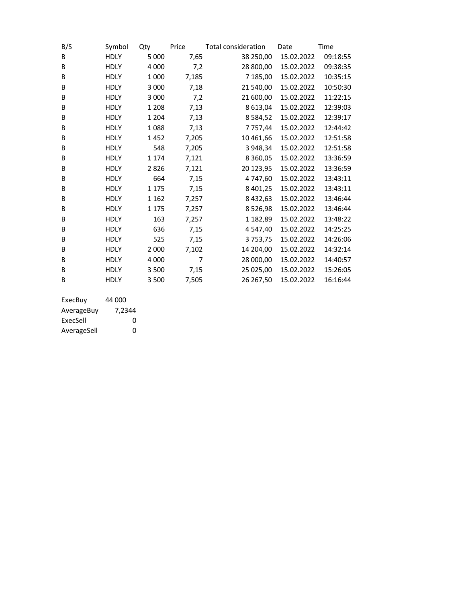| B/S | Symbol      | Qty     | Price          | Total consideration | Date       | Time     |
|-----|-------------|---------|----------------|---------------------|------------|----------|
| В   | <b>HDLY</b> | 5 0 0 0 | 7,65           | 38 250,00           | 15.02.2022 | 09:18:55 |
| B   | <b>HDLY</b> | 4 0 0 0 | 7,2            | 28 800,00           | 15.02.2022 | 09:38:35 |
| B   | <b>HDLY</b> | 1 0 0 0 | 7,185          | 7 185,00            | 15.02.2022 | 10:35:15 |
| B   | <b>HDLY</b> | 3 0 0 0 | 7,18           | 21 540,00           | 15.02.2022 | 10:50:30 |
| B   | <b>HDLY</b> | 3 0 0 0 | 7,2            | 21 600,00           | 15.02.2022 | 11:22:15 |
| B   | <b>HDLY</b> | 1 2 0 8 | 7,13           | 8 613,04            | 15.02.2022 | 12:39:03 |
| B   | <b>HDLY</b> | 1 2 0 4 | 7,13           | 8 5 8 4 , 5 2       | 15.02.2022 | 12:39:17 |
| B   | <b>HDLY</b> | 1088    | 7,13           | 7 757,44            | 15.02.2022 | 12:44:42 |
| B   | <b>HDLY</b> | 1452    | 7,205          | 10 461,66           | 15.02.2022 | 12:51:58 |
| B   | <b>HDLY</b> | 548     | 7,205          | 3 948,34            | 15.02.2022 | 12:51:58 |
| B   | <b>HDLY</b> | 1 1 7 4 | 7,121          | 8 3 6 0 , 0 5       | 15.02.2022 | 13:36:59 |
| B   | <b>HDLY</b> | 2826    | 7,121          | 20 123,95           | 15.02.2022 | 13:36:59 |
| B   | <b>HDLY</b> | 664     | 7,15           | 4 747,60            | 15.02.2022 | 13:43:11 |
| B   | <b>HDLY</b> | 1 1 7 5 | 7,15           | 8 4 0 1 , 25        | 15.02.2022 | 13:43:11 |
| B   | <b>HDLY</b> | 1 1 6 2 | 7,257          | 8 4 3 2 , 6 3       | 15.02.2022 | 13:46:44 |
| B   | <b>HDLY</b> | 1 1 7 5 | 7,257          | 8526,98             | 15.02.2022 | 13:46:44 |
| В   | <b>HDLY</b> | 163     | 7,257          | 1 182,89            | 15.02.2022 | 13:48:22 |
| B   | <b>HDLY</b> | 636     | 7,15           | 4 547,40            | 15.02.2022 | 14:25:25 |
| B   | <b>HDLY</b> | 525     | 7,15           | 3753,75             | 15.02.2022 | 14:26:06 |
| B   | <b>HDLY</b> | 2 0 0 0 | 7,102          | 14 204,00           | 15.02.2022 | 14:32:14 |
| B   | <b>HDLY</b> | 4 0 0 0 | $\overline{7}$ | 28 000,00           | 15.02.2022 | 14:40:57 |
| B   | <b>HDLY</b> | 3 500   | 7,15           | 25 025,00           | 15.02.2022 | 15:26:05 |
| B   | <b>HDLY</b> | 3 500   | 7,505          | 26 267,50           | 15.02.2022 | 16:16:44 |

| ExecBuy     | 44 000 |
|-------------|--------|
| AverageBuy  | 7,2344 |
| ExecSell    | ŋ      |
| AverageSell | ŋ      |
|             |        |